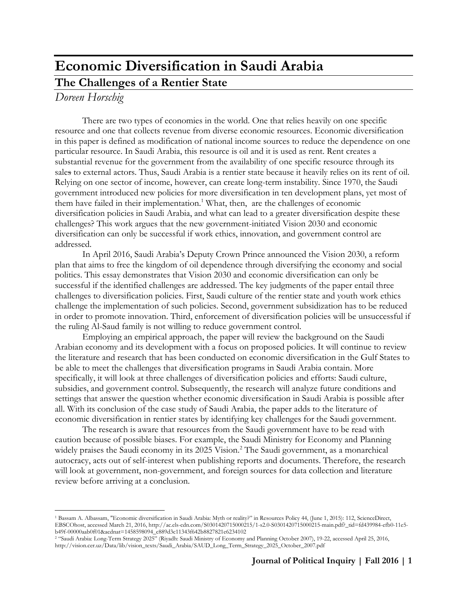# **Economic Diversification in Saudi Arabia The Challenges of a Rentier State**

# *Doreen Horschig*

 $\overline{a}$ 

There are two types of economies in the world. One that relies heavily on one specific resource and one that collects revenue from diverse economic resources. Economic diversification in this paper is defined as modification of national income sources to reduce the dependence on one particular resource. In Saudi Arabia, this resource is oil and it is used as rent. Rent creates a substantial revenue for the government from the availability of one specific resource through its sales to external actors. Thus, Saudi Arabia is a rentier state because it heavily relies on its rent of oil. Relying on one sector of income, however, can create long-term instability. Since 1970, the Saudi government introduced new policies for more diversification in ten development plans, yet most of them have failed in their implementation.<sup>1</sup> What, then, are the challenges of economic diversification policies in Saudi Arabia, and what can lead to a greater diversification despite these challenges? This work argues that the new government-initiated Vision 2030 and economic diversification can only be successful if work ethics, innovation, and government control are addressed.

In April 2016, Saudi Arabia's Deputy Crown Prince announced the Vision 2030, a reform plan that aims to free the kingdom of oil dependence through diversifying the economy and social politics. This essay demonstrates that Vision 2030 and economic diversification can only be successful if the identified challenges are addressed. The key judgments of the paper entail three challenges to diversification policies. First, Saudi culture of the rentier state and youth work ethics challenge the implementation of such policies. Second, government subsidization has to be reduced in order to promote innovation. Third, enforcement of diversification policies will be unsuccessful if the ruling Al-Saud family is not willing to reduce government control.

Employing an empirical approach, the paper will review the background on the Saudi Arabian economy and its development with a focus on proposed policies. It will continue to review the literature and research that has been conducted on economic diversification in the Gulf States to be able to meet the challenges that diversification programs in Saudi Arabia contain. More specifically, it will look at three challenges of diversification policies and efforts: Saudi culture, subsidies, and government control. Subsequently, the research will analyze future conditions and settings that answer the question whether economic diversification in Saudi Arabia is possible after all. With its conclusion of the case study of Saudi Arabia, the paper adds to the literature of economic diversification in rentier states by identifying key challenges for the Saudi government.

The research is aware that resources from the Saudi government have to be read with caution because of possible biases. For example, the Saudi Ministry for Economy and Planning widely praises the Saudi economy in its 2025 Vision.<sup>2</sup> The Saudi government, as a monarchical autocracy, acts out of self-interest when publishing reports and documents. Therefore, the research will look at government, non-government, and foreign sources for data collection and literature review before arriving at a conclusion.

<sup>1</sup> Bassam A. Albassam, "Economic diversification in Saudi Arabia: Myth or reality?" in Resources Policy 44, (June 1, 2015): 112, ScienceDirect, EBSCOhost, accessed March 21, 2016, http://ac.els-cdn.com/S0301420715000215/1-s2.0-S0301420715000215-main.pdf?\_tid=fd439984-efb0-11e5 b49f-00000aab0f01&acdnat=1458598094\_c889d3c11343f642b8827821e6234102

<sup>2</sup> "Saudi Arabia: Long-Term Strategy 2025" (Riyadh: Saudi Ministry of Economy and Planning October 2007), 19-22, accessed April 25, 2016, http://vision.cer.uz/Data/lib/vision\_texts/Saudi\_Arabia/SAUD\_Long\_Term\_Strategy\_2025\_October\_2007.pdf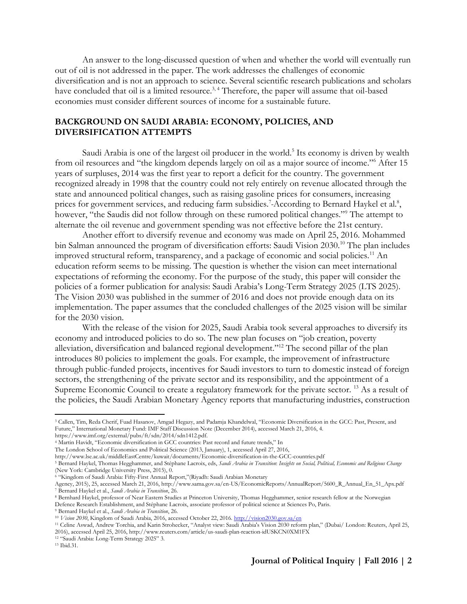An answer to the long-discussed question of when and whether the world will eventually run out of oil is not addressed in the paper. The work addresses the challenges of economic diversification and is not an approach to science. Several scientific research publications and scholars have concluded that oil is a limited resource.<sup>3, 4</sup> Therefore, the paper will assume that oil-based economies must consider different sources of income for a sustainable future.

# **BACKGROUND ON SAUDI ARABIA: ECONOMY, POLICIES, AND DIVERSIFICATION ATTEMPTS**

Saudi Arabia is one of the largest oil producer in the world.<sup>5</sup> Its economy is driven by wealth from oil resources and "the kingdom depends largely on oil as a major source of income."<sup>6</sup> After 15 years of surpluses, 2014 was the first year to report a deficit for the country. The government recognized already in 1998 that the country could not rely entirely on revenue allocated through the state and announced political changes, such as raising gasoline prices for consumers, increasing prices for government services, and reducing farm subsidies.<sup>7</sup>-According to Bernard Haykel et al.<sup>8</sup>, however, "the Saudis did not follow through on these rumored political changes."<sup>9</sup> The attempt to alternate the oil revenue and government spending was not effective before the 21st century.

Another effort to diversify revenue and economy was made on April 25, 2016. Mohammed bin Salman announced the program of diversification efforts: Saudi Vision 2030.<sup>10</sup> The plan includes improved structural reform, transparency, and a package of economic and social policies.<sup>11</sup> An education reform seems to be missing. The question is whether the vision can meet international expectations of reforming the economy. For the purpose of the study, this paper will consider the policies of a former publication for analysis: Saudi Arabia's Long-Term Strategy 2025 (LTS 2025). The Vision 2030 was published in the summer of 2016 and does not provide enough data on its implementation. The paper assumes that the concluded challenges of the 2025 vision will be similar for the 2030 vision.

With the release of the vision for 2025, Saudi Arabia took several approaches to diversify its economy and introduced policies to do so. The new plan focuses on "job creation, poverty alleviation, diversification and balanced regional development."<sup>12</sup> The second pillar of the plan introduces 80 policies to implement the goals. For example, the improvement of infrastructure through public-funded projects, incentives for Saudi investors to turn to domestic instead of foreign sectors, the strengthening of the private sector and its responsibility, and the appointment of a Supreme Economic Council to create a regulatory framework for the private sector.<sup>13</sup> As a result of the policies, the Saudi Arabian Monetary Agency reports that manufacturing industries, construction

<sup>9</sup> Bernard Haykel et al., *Saudi Arabia in Transition*, 26.

<sup>3</sup> Callen, Tim, Reda Cherif, Fuad Hasanov, Amgad Hegazy, and Padamja Khandelwal, "Economic Diversification in the GCC: Past, Present, and Future," International Monetary Fund: IMF Staff Discussion Note (December 2014), accessed March 21, 2016, 4.

https://www.imf.org/external/pubs/ft/sdn/2014/sdn1412.pdf.

<sup>4</sup> Martin Havidt, "Economic diversification in GCC countries: Past record and future trends," In The London School of Economics and Political Science (2013, January), 1, accessed April 27, 2016,

http://www.lse.ac.uk/middleEastCentre/kuwait/documents/Economic-diversification-in-the-GCC-countries.pdf

<sup>5</sup> Bernard Haykel, Thomas Hegghammer, and Stéphane Lacroix, eds, *Saudi Arabia in Transition*: *Insights on Social, Political, Economic and Religious Change*  (New York: Cambridge University Press, 2015), 0.

<sup>6</sup> "Kingdom of Saudi Arabia: Fifty-First Annual Report,"(Riyadh: Saudi Arabian Monetary

Agency, 2015), 25, accessed March 21, 2016, http://www.sama.gov.sa/en-US/EconomicReports/AnnualReport/5600\_R\_Annual\_En\_51\_Apx.pdf <sup>7</sup> Bernard Haykel et al., *Saudi Arabia in Transition*, 26.

<sup>8</sup> Bernhard Haykel, professor of Near Eastern Studies at Princeton University, Thomas Hegghammer, senior research fellow at the Norwegian Defence Research Establishment, and Stéphane Lacroix, associate professor of political science at Sciences Po, Paris.

<sup>10</sup> *Vision 2030*, Kingdom of Saudi Arabia, 2016, accessed October 22, 2016[. http://vision2030.gov.sa/en](http://vision2030.gov.sa/en)

<sup>&</sup>lt;sup>11</sup> Celine Aswad, Andrew Torchia, and Karin Strohecker, "Analyst view: Saudi Arabia's Vision 2030 reform plan," (Dubai/ London: Reuters, April 25, 2016), accessed April 25, 2016, http://www.reuters.com/article/us-saudi-plan-reaction-idUSKCN0XM1FX

<sup>12</sup> "Saudi Arabia: Long-Term Strategy 2025" 3.

<sup>13</sup> Ibid.31.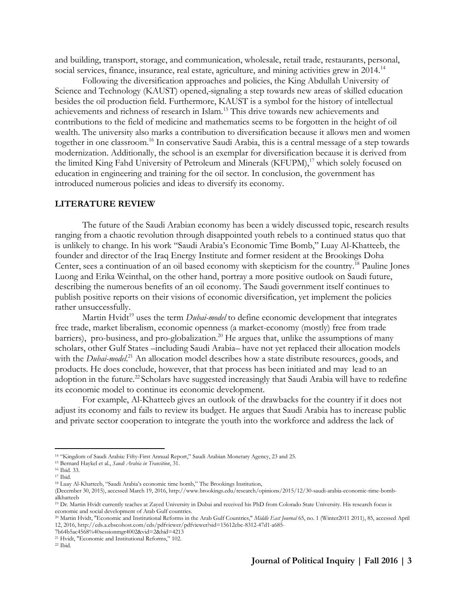and building, transport, storage, and communication, wholesale, retail trade, restaurants, personal, social services, finance, insurance, real estate, agriculture, and mining activities grew in 2014.<sup>14</sup>

Following the diversification approaches and policies, the King Abdullah University of Science and Technology (KAUST) opened, signaling a step towards new areas of skilled education besides the oil production field. Furthermore, KAUST is a symbol for the history of intellectual achievements and richness of research in Islam.<sup>15</sup> This drive towards new achievements and contributions to the field of medicine and mathematics seems to be forgotten in the height of oil wealth. The university also marks a contribution to diversification because it allows men and women together in one classroom.<sup>16</sup> In conservative Saudi Arabia, this is a central message of a step towards modernization. Additionally, the school is an exemplar for diversification because it is derived from the limited King Fahd University of Petroleum and Minerals (KFUPM),<sup>17</sup> which solely focused on education in engineering and training for the oil sector. In conclusion, the government has introduced numerous policies and ideas to diversify its economy.

#### **LITERATURE REVIEW**

The future of the Saudi Arabian economy has been a widely discussed topic, research results ranging from a chaotic revolution through disappointed youth rebels to a continued status quo that is unlikely to change. In his work "Saudi Arabia's Economic Time Bomb," Luay Al-Khatteeb, the founder and director of the Iraq Energy Institute and former resident at the Brookings Doha Center, sees a continuation of an oil based economy with skepticism for the country.<sup>18</sup> Pauline Jones Luong and Erika Weinthal, on the other hand, portray a more positive outlook on Saudi future, describing the numerous benefits of an oil economy. The Saudi government itself continues to publish positive reports on their visions of economic diversification, yet implement the policies rather unsuccessfully.

Martin Hvidt<sup>19</sup> uses the term *Dubai-model* to define economic development that integrates free trade, market liberalism, economic openness (a market-economy (mostly) free from trade barriers), pro-business, and pro-globalization.<sup>20</sup> He argues that, unlike the assumptions of many scholars, other Gulf States –including Saudi Arabia– have not yet replaced their allocation models with the *Dubai-model*.<sup>21</sup> An allocation model describes how a state distribute resources, goods, and products. He does conclude, however, that that process has been initiated and may lead to an adoption in the future.<sup>22</sup> Scholars have suggested increasingly that Saudi Arabia will have to redefine its economic model to continue its economic development.

For example, Al-Khatteeb gives an outlook of the drawbacks for the country if it does not adjust its economy and fails to review its budget. He argues that Saudi Arabia has to increase public and private sector cooperation to integrate the youth into the workforce and address the lack of

<sup>14</sup> "Kingdom of Saudi Arabia: Fifty-First Annual Report," Saudi Arabian Monetary Agency, 23 and 25.

<sup>15</sup> Bernard Haykel et al., *Saudi Arabia in Transition*, 31.

<sup>16</sup> Ibid. 33.  $17$  Ibid.

<sup>18</sup> Luay Al-Khatteeb, "Saudi Arabia's economic time bomb," The Brookings Institution,

<sup>(</sup>December 30, 2015), accessed March 19, 2016, http://www.brookings.edu/research/opinions/2015/12/30-saudi-arabia-economic-time-bombalkhatteeb

<sup>&</sup>lt;sup>19</sup> Dr. Martin Hvidt currently teaches at Zayed University in Dubai and received his PhD from Colorado State University. His research focus is economic and social development of Arab Gulf countries.

<sup>20</sup> Martin Hvidt, "Economic and Institutional Reforms in the Arab Gulf Countries," *Middle East Journal* 65, no. 1 (Winter2011 2011), 85, accessed April 12, 2016, http://eds.a.ebscohost.com/eds/pdfviewer/pdfviewer?sid=15612ebe-8312-47d1-a685-

<sup>7</sup>b64b5ac4568%40sessionmgr4002&vid=2&hid=4213

<sup>21</sup> Hvidt, "Economic and Institutional Reforms," 102.

<sup>22</sup> Ibid.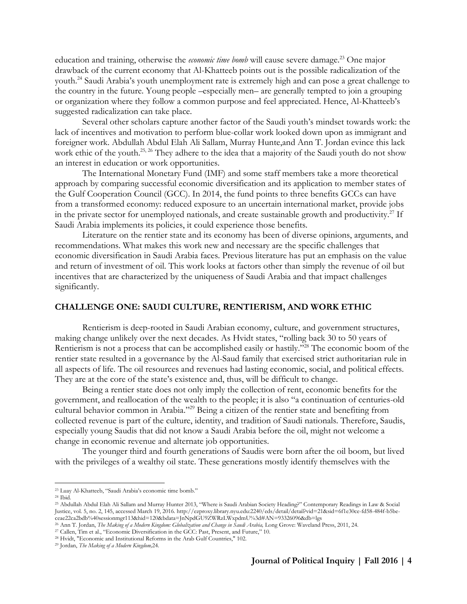education and training, otherwise the *economic time bomb* will cause severe damage.<sup>23</sup> One major drawback of the current economy that Al-Khatteeb points out is the possible radicalization of the youth.<sup>24</sup> Saudi Arabia's youth unemployment rate is extremely high and can pose a great challenge to the country in the future. Young people –especially men– are generally tempted to join a grouping or organization where they follow a common purpose and feel appreciated. Hence, Al-Khatteeb's suggested radicalization can take place.

Several other scholars capture another factor of the Saudi youth's mindset towards work: the lack of incentives and motivation to perform blue-collar work looked down upon as immigrant and foreigner work. Abdullah Abdul Elah Ali Sallam, Murray Hunte,and Ann T. Jordan evince this lack work ethic of the youth.<sup>25, 26</sup> They adhere to the idea that a majority of the Saudi youth do not show an interest in education or work opportunities.

The International Monetary Fund (IMF) and some staff members take a more theoretical approach by comparing successful economic diversification and its application to member states of the Gulf Cooperation Council (GCC). In 2014, the fund points to three benefits GCCs can have from a transformed economy: reduced exposure to an uncertain international market, provide jobs in the private sector for unemployed nationals, and create sustainable growth and productivity.<sup>27</sup> If Saudi Arabia implements its policies, it could experience those benefits.

Literature on the rentier state and its economy has been of diverse opinions, arguments, and recommendations. What makes this work new and necessary are the specific challenges that economic diversification in Saudi Arabia faces. Previous literature has put an emphasis on the value and return of investment of oil. This work looks at factors other than simply the revenue of oil but incentives that are characterized by the uniqueness of Saudi Arabia and that impact challenges significantly.

### **CHALLENGE ONE: SAUDI CULTURE, RENTIERISM, AND WORK ETHIC**

Rentierism is deep-rooted in Saudi Arabian economy, culture, and government structures, making change unlikely over the next decades. As Hvidt states, "rolling back 30 to 50 years of Rentierism is not a process that can be accomplished easily or hastily."<sup>28</sup> The economic boom of the rentier state resulted in a governance by the Al-Saud family that exercised strict authoritarian rule in all aspects of life. The oil resources and revenues had lasting economic, social, and political effects. They are at the core of the state's existence and, thus, will be difficult to change.

Being a rentier state does not only imply the collection of rent, economic benefits for the government, and reallocation of the wealth to the people; it is also "a continuation of centuries-old cultural behavior common in Arabia."<sup>29</sup> Being a citizen of the rentier state and benefiting from collected revenue is part of the culture, identity, and tradition of Saudi nationals. Therefore, Saudis, especially young Saudis that did not know a Saudi Arabia before the oil, might not welcome a change in economic revenue and alternate job opportunities.

The younger third and fourth generations of Saudis were born after the oil boom, but lived with the privileges of a wealthy oil state. These generations mostly identify themselves with the

<sup>23</sup> Luay Al-Khatteeb, "Saudi Arabia's economic time bomb."

 $24$  Ibid.

<sup>25</sup> Abdullah Abdul Elah Ali Sallam and Murray Hunter 2013, "Where is Saudi Arabian Society Heading?" Contemporary Readings in Law & Social Justice, vol. 5, no. 2, 145, accessed March 19, 2016. http://ezproxy.library.nyu.edu:2240/eds/detail/detail?vid=21&sid=6f1e30ce-fd58-484f-b5beceae22ca2bdb%40sessionmgr113&hid=120&bdata=JnNpdGU9ZWRzLWxpdmU%3d#AN=93326096&db=lgs

<sup>&</sup>lt;sup>26</sup> Ann T. Jordan, *The Making of a Modern Kingdom: Globalization and Change in Saudi Arabia*, Long Grove: Waveland Press, 2011, 24.

<sup>&</sup>lt;sup>27</sup> Callen, Tim et al., "Economic Diversification in the GCC: Past, Present, and Future," 10.

<sup>28</sup> Hvidt, "Economic and Institutional Reforms in the Arab Gulf Countries," 102.

<sup>29</sup> Jordan, *The Making of a Modern Kingdom,*24.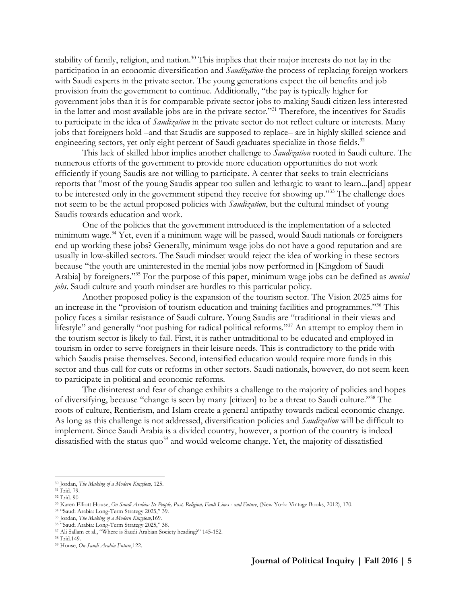stability of family, religion, and nation.<sup>30</sup> This implies that their major interests do not lay in the participation in an economic diversification and *Saudization-*the process of replacing foreign workers with Saudi experts in the private sector. The young generations expect the oil benefits and job provision from the government to continue. Additionally, "the pay is typically higher for government jobs than it is for comparable private sector jobs to making Saudi citizen less interested in the latter and most available jobs are in the private sector."<sup>31</sup> Therefore, the incentives for Saudis to participate in the idea of *Saudization* in the private sector do not reflect culture or interests. Many jobs that foreigners hold –and that Saudis are supposed to replace– are in highly skilled science and engineering sectors, yet only eight percent of Saudi graduates specialize in those fields.<sup>32</sup>

This lack of skilled labor implies another challenge to *Saudization* rooted in Saudi culture. The numerous efforts of the government to provide more education opportunities do not work efficiently if young Saudis are not willing to participate. A center that seeks to train electricians reports that "most of the young Saudis appear too sullen and lethargic to want to learn...[and] appear to be interested only in the government stipend they receive for showing up."<sup>33</sup> The challenge does not seem to be the actual proposed policies with *Saudization*, but the cultural mindset of young Saudis towards education and work.

One of the policies that the government introduced is the implementation of a selected minimum wage.<sup>34</sup> Yet, even if a minimum wage will be passed, would Saudi nationals or foreigners end up working these jobs? Generally, minimum wage jobs do not have a good reputation and are usually in low-skilled sectors. The Saudi mindset would reject the idea of working in these sectors because "the youth are uninterested in the menial jobs now performed in [Kingdom of Saudi Arabia] by foreigners."<sup>35</sup> For the purpose of this paper, minimum wage jobs can be defined as *menial jobs*. Saudi culture and youth mindset are hurdles to this particular policy.

Another proposed policy is the expansion of the tourism sector. The Vision 2025 aims for an increase in the "provision of tourism education and training facilities and programmes."<sup>36</sup> This policy faces a similar resistance of Saudi culture. Young Saudis are "traditional in their views and lifestyle" and generally "not pushing for radical political reforms."<sup>37</sup> An attempt to employ them in the tourism sector is likely to fail. First, it is rather untraditional to be educated and employed in tourism in order to serve foreigners in their leisure needs. This is contradictory to the pride with which Saudis praise themselves. Second, intensified education would require more funds in this sector and thus call for cuts or reforms in other sectors. Saudi nationals, however, do not seem keen to participate in political and economic reforms.

The disinterest and fear of change exhibits a challenge to the majority of policies and hopes of diversifying, because "change is seen by many [citizen] to be a threat to Saudi culture."<sup>38</sup> The roots of culture, Rentierism, and Islam create a general antipathy towards radical economic change. As long as this challenge is not addressed, diversification policies and *Saudization* will be difficult to implement. Since Saudi Arabia is a divided country, however, a portion of the country is indeed dissatisfied with the status quo<sup>39</sup> and would welcome change. Yet, the majority of dissatisfied

<sup>30</sup> Jordan, *The Making of a Modern Kingdom,* 125.

<sup>31</sup> Ibid. 79.

<sup>32</sup> Ibid. 90.

<sup>33</sup> Karen Elliott House, *On Saudi Arabia: Its People, Past, Religion, Fault Lines - and Future*, (New York: Vintage Books, 2012), 170.

<sup>34</sup> "Saudi Arabia: Long-Term Strategy 2025," 39.

<sup>35</sup> Jordan, *The Making of a Modern Kingdom,*169.

<sup>36</sup> "Saudi Arabia: Long-Term Strategy 2025," 38.

<sup>37</sup> Ali Sallam et al., "Where is Saudi Arabian Society heading?" 145-152.

<sup>38</sup> Ibid.149.

<sup>39</sup> House, *On Saudi Arabia Future*,122.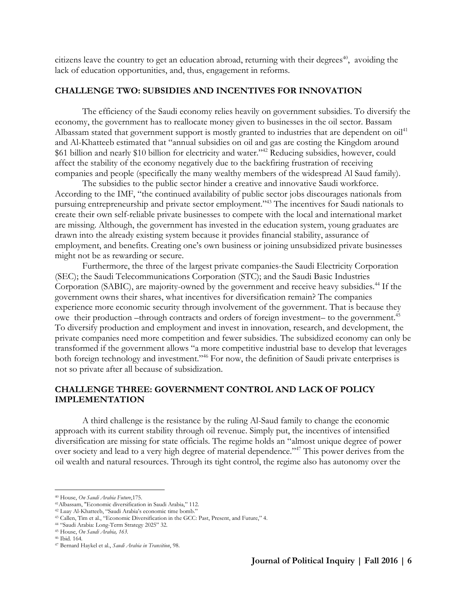citizens leave the country to get an education abroad, returning with their degrees<sup> $40$ </sup>, avoiding the lack of education opportunities, and, thus, engagement in reforms.

#### **CHALLENGE TWO: SUBSIDIES AND INCENTIVES FOR INNOVATION**

The efficiency of the Saudi economy relies heavily on government subsidies. To diversify the economy, the government has to reallocate money given to businesses in the oil sector. Bassam Albassam stated that government support is mostly granted to industries that are dependent on  $\delta u^{\dagger 1}$ and Al-Khatteeb estimated that "annual subsidies on oil and gas are costing the Kingdom around \$61 billion and nearly \$10 billion for electricity and water."<sup>42</sup> Reducing subsidies, however, could affect the stability of the economy negatively due to the backfiring frustration of receiving companies and people (specifically the many wealthy members of the widespread Al Saud family).

The subsidies to the public sector hinder a creative and innovative Saudi workforce. According to the IMF, "the continued availability of public sector jobs discourages nationals from pursuing entrepreneurship and private sector employment."<sup>43</sup> The incentives for Saudi nationals to create their own self-reliable private businesses to compete with the local and international market are missing. Although, the government has invested in the education system, young graduates are drawn into the already existing system because it provides financial stability, assurance of employment, and benefits. Creating one's own business or joining unsubsidized private businesses might not be as rewarding or secure.

Furthermore, the three of the largest private companies-the Saudi Electricity Corporation (SEC); the Saudi Telecommunications Corporation (STC); and the Saudi Basic Industries Corporation (SABIC), are majority-owned by the government and receive heavy subsidies.<sup>44</sup> If the government owns their shares, what incentives for diversification remain? The companies experience more economic security through involvement of the government. That is because they owe their production –through contracts and orders of foreign investment– to the government.<sup>45</sup> To diversify production and employment and invest in innovation, research, and development, the private companies need more competition and fewer subsidies. The subsidized economy can only be transformed if the government allows "a more competitive industrial base to develop that leverages both foreign technology and investment."<sup>46</sup> For now, the definition of Saudi private enterprises is not so private after all because of subsidization.

# **CHALLENGE THREE: GOVERNMENT CONTROL AND LACK OF POLICY IMPLEMENTATION**

A third challenge is the resistance by the ruling Al-Saud family to change the economic approach with its current stability through oil revenue. Simply put, the incentives of intensified diversification are missing for state officials. The regime holds an "almost unique degree of power over society and lead to a very high degree of material dependence."<sup>47</sup> This power derives from the oil wealth and natural resources. Through its tight control, the regime also has autonomy over the

<sup>40</sup> House, *On Saudi Arabia Future*,175.

<sup>41</sup>Albassam, "Economic diversification in Saudi Arabia," 112.

<sup>42</sup> Luay Al-Khatteeb, "Saudi Arabia's economic time bomb."

<sup>43</sup> Callen, Tim et al., "Economic Diversification in the GCC: Past, Present, and Future," 4.

<sup>44</sup> "Saudi Arabia: Long-Term Strategy 2025" 32.

<sup>45</sup> House, *On Saudi Arabia, 163.*

<sup>46</sup> Ibid. 164*.*

<sup>47</sup> Bernard Haykel et al., *Saudi Arabia in Transition*, 98.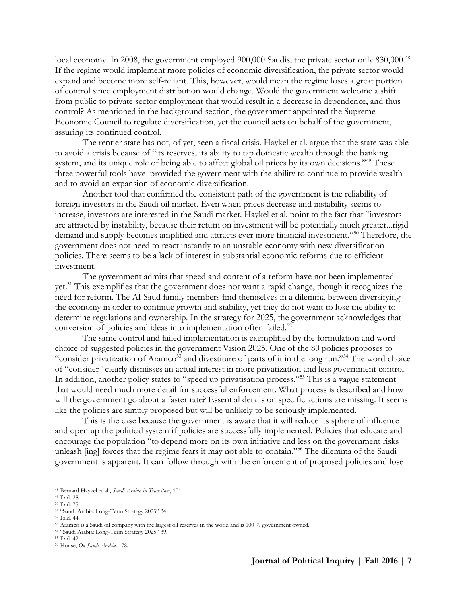local economy. In 2008, the government employed 900,000 Saudis, the private sector only 830,000.<sup>48</sup> If the regime would implement more policies of economic diversification, the private sector would expand and become more self-reliant. This, however, would mean the regime loses a great portion of control since employment distribution would change. Would the government welcome a shift from public to private sector employment that would result in a decrease in dependence, and thus control? As mentioned in the background section, the government appointed the Supreme Economic Council to regulate diversification, yet the council acts on behalf of the government, assuring its continued control.

The rentier state has not, of yet, seen a fiscal crisis. Haykel et al. argue that the state was able to avoid a crisis because of "its reserves, its ability to tap domestic wealth through the banking system, and its unique role of being able to affect global oil prices by its own decisions."<sup>49</sup> These three powerful tools have provided the government with the ability to continue to provide wealth and to avoid an expansion of economic diversification.

Another tool that confirmed the consistent path of the government is the reliability of foreign investors in the Saudi oil market. Even when prices decrease and instability seems to increase, investors are interested in the Saudi market. Haykel et al. point to the fact that "investors are attracted by instability, because their return on investment will be potentially much greater...rigid demand and supply becomes amplified and attracts ever more financial investment."<sup>50</sup> Therefore, the government does not need to react instantly to an unstable economy with new diversification policies. There seems to be a lack of interest in substantial economic reforms due to efficient investment.

The government admits that speed and content of a reform have not been implemented yet.<sup>51</sup> This exemplifies that the government does not want a rapid change, though it recognizes the need for reform. The Al-Saud family members find themselves in a dilemma between diversifying the economy in order to continue growth and stability, yet they do not want to lose the ability to determine regulations and ownership. In the strategy for 2025, the government acknowledges that conversion of policies and ideas into implementation often failed.<sup>52</sup>

The same control and failed implementation is exemplified by the formulation and word choice of suggested policies in the government Vision 2025. One of the 80 policies proposes to "consider privatization of Aramco<sup>53</sup> and divestiture of parts of it in the long run."<sup>54</sup> The word choice of "consider*"* clearly dismisses an actual interest in more privatization and less government control. In addition, another policy states to "speed up privatisation process."<sup>55</sup> This is a vague statement that would need much more detail for successful enforcement. What process is described and how will the government go about a faster rate? Essential details on specific actions are missing. It seems like the policies are simply proposed but will be unlikely to be seriously implemented.

This is the case because the government is aware that it will reduce its sphere of influence and open up the political system if policies are successfully implemented. Policies that educate and encourage the population "to depend more on its own initiative and less on the government risks unleash [ing] forces that the regime fears it may not able to contain."<sup>56</sup> The dilemma of the Saudi government is apparent. It can follow through with the enforcement of proposed policies and lose

 $\overline{a}$ 

<sup>54</sup> "Saudi Arabia: Long-Term Strategy 2025" 39.

<sup>48</sup> Bernard Haykel et al., *Saudi Arabia in Transition*, 101.

<sup>49</sup> Ibid. 28.

<sup>50</sup> Ibid. 75.

<sup>51</sup> "Saudi Arabia: Long-Term Strategy 2025" 34.

<sup>52</sup> Ibid. 44.

<sup>53</sup> Aramco is a Saudi oil company with the largest oil reserves in the world and is 100 % government owned.

<sup>55</sup> Ibid. 42.

<sup>56</sup> House, *On Saudi Arabia,* 178.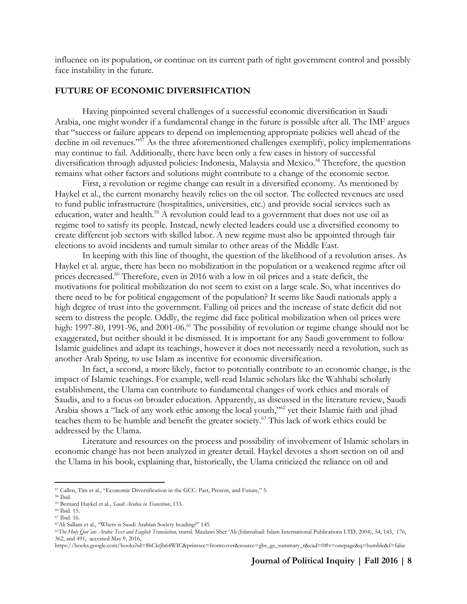influence on its population, or continue on its current path of tight government control and possibly face instability in the future.

#### **FUTURE OF ECONOMIC DIVERSIFICATION**

Having pinpointed several challenges of a successful economic diversification in Saudi Arabia, one might wonder if a fundamental change in the future is possible after all. The IMF argues that "success or failure appears to depend on implementing appropriate policies well ahead of the decline in oil revenues."<sup>57</sup> As the three aforementioned challenges exemplify, policy implementations may continue to fail. Additionally, there have been only a few cases in history of successful diversification through adjusted policies: Indonesia, Malaysia and Mexico.<sup>58</sup> Therefore, the question remains what other factors and solutions might contribute to a change of the economic sector.

First, a revolution or regime change can result in a diversified economy. As mentioned by Haykel et al., the current monarchy heavily relies on the oil sector. The collected revenues are used to fund public infrastructure (hospitalities, universities, etc.) and provide social services such as education, water and health.<sup>59</sup> A revolution could lead to a government that does not use oil as regime tool to satisfy its people. Instead, newly elected leaders could use a diversified economy to create different job sectors with skilled labor. A new regime must also be appointed through fair elections to avoid incidents and tumult similar to other areas of the Middle East.

In keeping with this line of thought, the question of the likelihood of a revolution arises. As Haykel et al. argue, there has been no mobilization in the population or a weakened regime after oil prices decreased.<sup>60</sup> Therefore, even in 2016 with a low in oil prices and a state deficit, the motivations for political mobilization do not seem to exist on a large scale. So, what incentives do there need to be for political engagement of the population? It seems like Saudi nationals apply a high degree of trust into the government. Falling oil prices and the increase of state deficit did not seem to distress the people. Oddly, the regime did face political mobilization when oil prices were high: 1997-80, 1991-96, and 2001-06.<sup>61</sup> The possibility of revolution or regime change should not be exaggerated, but neither should it be dismissed. It is important for any Saudi government to follow Islamic guidelines and adapt its teachings, however it does not necessarily need a revolution, such as another Arab Spring, to use Islam as incentive for economic diversification.

In fact, a second, a more likely, factor to potentially contribute to an economic change, is the impact of Islamic teachings. For example, well-read Islamic scholars like the Wahhabi scholarly establishment, the Ulama can contribute to fundamental changes of work ethics and morals of Saudis, and to a focus on broader education. Apparently, as discussed in the literature review, Saudi Arabia shows a "lack of any work ethic among the local youth,"<sup>62</sup> yet their Islamic faith and jihad teaches them to be humble and benefit the greater society.<sup>63</sup> This lack of work ethics could be addressed by the Ulama.

Literature and resources on the process and possibility of involvement of Islamic scholars in economic change has not been analyzed in greater detail. Haykel devotes a short section on oil and the Ulama in his book, explaining that, historically, the Ulama criticized the reliance on oil and

<sup>57</sup> Callen, Tim et al., "Economic Diversification in the GCC: Past, Present, and Future," 5.

<sup>58</sup> Ibid.

<sup>59</sup> Bernard Haykel et al., *Saudi Arabia in Transition*, 133.

<sup>60</sup> Ibid. 15. <sup>61</sup> Ibid. 16.

<sup>62</sup>Ali Sallam et al., "Where is Saudi Arabian Society heading?" 145.

<sup>63</sup>*The Holy Qur'an: Arabic Text and English Translation,* transl. Maulawi Sher 'Ali (Islamabad: Islam International Publications LTD, 2004), 54, 143, 176, 362, and 491, accessed May 9, 2016,

https://books.google.com/books?id=8hCktJb64WIC&printsec=frontcover&source=gbs\_ge\_summary\_r&cad=0#v=onepage&q=humble&f=false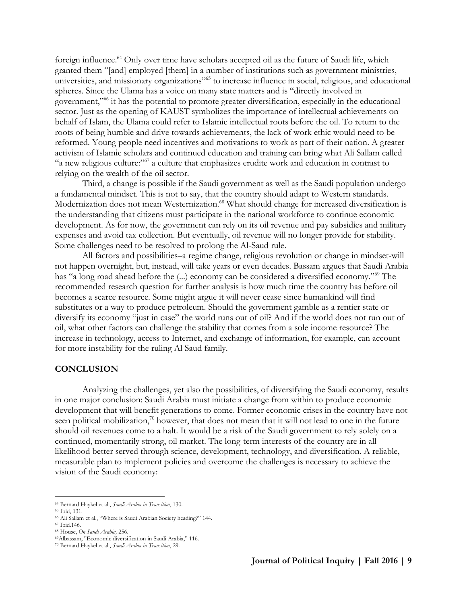foreign influence.<sup>64</sup> Only over time have scholars accepted oil as the future of Saudi life, which granted them "[and] employed [them] in a number of institutions such as government ministries, universities, and missionary organizations"<sup>65</sup> to increase influence in social, religious, and educational spheres. Since the Ulama has a voice on many state matters and is "directly involved in government,"<sup>66</sup> it has the potential to promote greater diversification, especially in the educational sector. Just as the opening of KAUST symbolizes the importance of intellectual achievements on behalf of Islam, the Ulama could refer to Islamic intellectual roots before the oil. To return to the roots of being humble and drive towards achievements, the lack of work ethic would need to be reformed. Young people need incentives and motivations to work as part of their nation. A greater activism of Islamic scholars and continued education and training can bring what Ali Sallam called "a new religious culture:"<sup>67</sup> a culture that emphasizes erudite work and education in contrast to relying on the wealth of the oil sector.

Third, a change is possible if the Saudi government as well as the Saudi population undergo a fundamental mindset. This is not to say, that the country should adapt to Western standards. Modernization does not mean Westernization.<sup>68</sup> What should change for increased diversification is the understanding that citizens must participate in the national workforce to continue economic development. As for now, the government can rely on its oil revenue and pay subsidies and military expenses and avoid tax collection. But eventually, oil revenue will no longer provide for stability. Some challenges need to be resolved to prolong the Al-Saud rule.

All factors and possibilities–a regime change, religious revolution or change in mindset-will not happen overnight, but, instead, will take years or even decades. Bassam argues that Saudi Arabia has "a long road ahead before the (...) economy can be considered a diversified economy."<sup>69</sup> The recommended research question for further analysis is how much time the country has before oil becomes a scarce resource. Some might argue it will never cease since humankind will find substitutes or a way to produce petroleum. Should the government gamble as a rentier state or diversify its economy "just in case" the world runs out of oil? And if the world does not run out of oil, what other factors can challenge the stability that comes from a sole income resource? The increase in technology, access to Internet, and exchange of information, for example, can account for more instability for the ruling Al Saud family.

#### **CONCLUSION**

Analyzing the challenges, yet also the possibilities, of diversifying the Saudi economy, results in one major conclusion: Saudi Arabia must initiate a change from within to produce economic development that will benefit generations to come. Former economic crises in the country have not seen political mobilization, $70$  however, that does not mean that it will not lead to one in the future should oil revenues come to a halt. It would be a risk of the Saudi government to rely solely on a continued, momentarily strong, oil market. The long-term interests of the country are in all likelihood better served through science, development, technology, and diversification. A reliable, measurable plan to implement policies and overcome the challenges is necessary to achieve the vision of the Saudi economy:

 $\overline{a}$ <sup>64</sup> Bernard Haykel et al., *Saudi Arabia in Transition*, 130.

<sup>65</sup> Ibid, 131.

<sup>66</sup> Ali Sallam et al., "Where is Saudi Arabian Society heading?" 144.

<sup>67</sup> Ibid.146.

<sup>68</sup> House, *On Saudi Arabia,* 256.

<sup>69</sup>Albassam, "Economic diversification in Saudi Arabia," 116.

<sup>70</sup> Bernard Haykel et al., *Saudi Arabia in Transition*, 29.